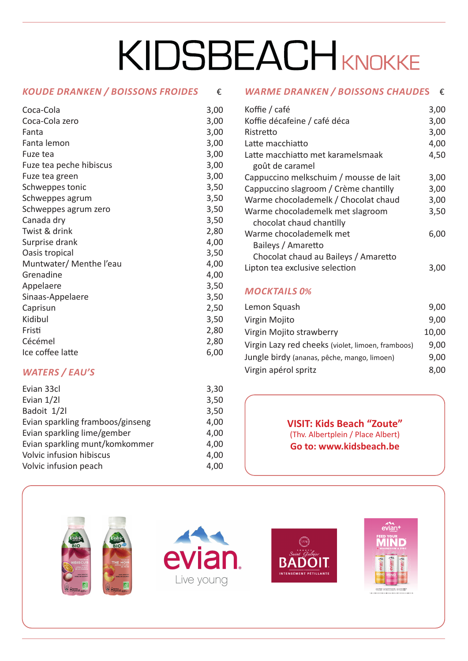# KIDSBEACHKNOKKE

#### *KOUDE DRANKEN / BOISSONS FROIDES*€

| Coca-Cola               | 3,00 |
|-------------------------|------|
| Coca-Cola zero          | 3,00 |
| Fanta                   | 3,00 |
| Fanta lemon             | 3,00 |
| Fuze tea                | 3,00 |
| Fuze tea peche hibiscus | 3,00 |
| Fuze tea green          | 3,00 |
| Schweppes tonic         | 3,50 |
| Schweppes agrum         | 3,50 |
| Schweppes agrum zero    | 3,50 |
| Canada dry              | 3,50 |
| Twist & drink           | 2,80 |
| Surprise drank          | 4,00 |
| Oasis tropical          | 3,50 |
| Muntwater/ Menthe l'eau | 4,00 |
| Grenadine               | 4,00 |
| Appelaere               | 3,50 |
| Sinaas-Appelaere        | 3,50 |
| Caprisun                | 2,50 |
| Kidibul                 | 3,50 |
| Fristi                  | 2,80 |
| Cécémel                 | 2,80 |
| Ice coffee latte        | 6,00 |

# *WATERS / EAU'S*

| Evian 33cl                       | 3,30 |
|----------------------------------|------|
| Evian 1/21                       | 3,50 |
| Badoit 1/2l                      | 3,50 |
| Evian sparkling framboos/ginseng | 4,00 |
| Evian sparkling lime/gember      | 4,00 |
| Evian sparkling munt/komkommer   | 4,00 |
| Volvic infusion hibiscus         | 4,00 |
| Volvic infusion peach            | 4,00 |

# *WARME DRANKEN / BOISSONS CHAUDE***S** €

| Koffie / café                          | 3,00 |
|----------------------------------------|------|
| Koffie décafeine / café déca           | 3,00 |
| Ristretto                              | 3,00 |
| Latte macchiatto                       | 4,00 |
| Latte macchiatto met karamelsmaak      | 4,50 |
| goût de caramel                        |      |
| Cappuccino melkschuim / mousse de lait | 3,00 |
| Cappuccino slagroom / Crème chantilly  | 3,00 |
| Warme chocolademelk / Chocolat chaud   | 3,00 |
| Warme chocolademelk met slagroom       | 3,50 |
| chocolat chaud chantilly               |      |
| Warme chocolademelk met                | 6,00 |
| Baileys / Amaretto                     |      |
| Chocolat chaud au Baileys / Amaretto   |      |
| Lipton tea exclusive selection         | 3.U  |

### *MOCKTAILS 0%*

| Lemon Squash                                      | 9,00  |
|---------------------------------------------------|-------|
| Virgin Mojito                                     | 9,00  |
| Virgin Mojito strawberry                          | 10,00 |
| Virgin Lazy red cheeks (violet, limoen, framboos) | 9,00  |
| Jungle birdy (ananas, pêche, mango, limoen)       | 9,00  |
| Virgin apérol spritz                              | 8.00  |

**VISIT: Kids Beach "Zoute"**  (Thv. Albertplein / Place Albert) **Go to: www.kidsbeach.be**